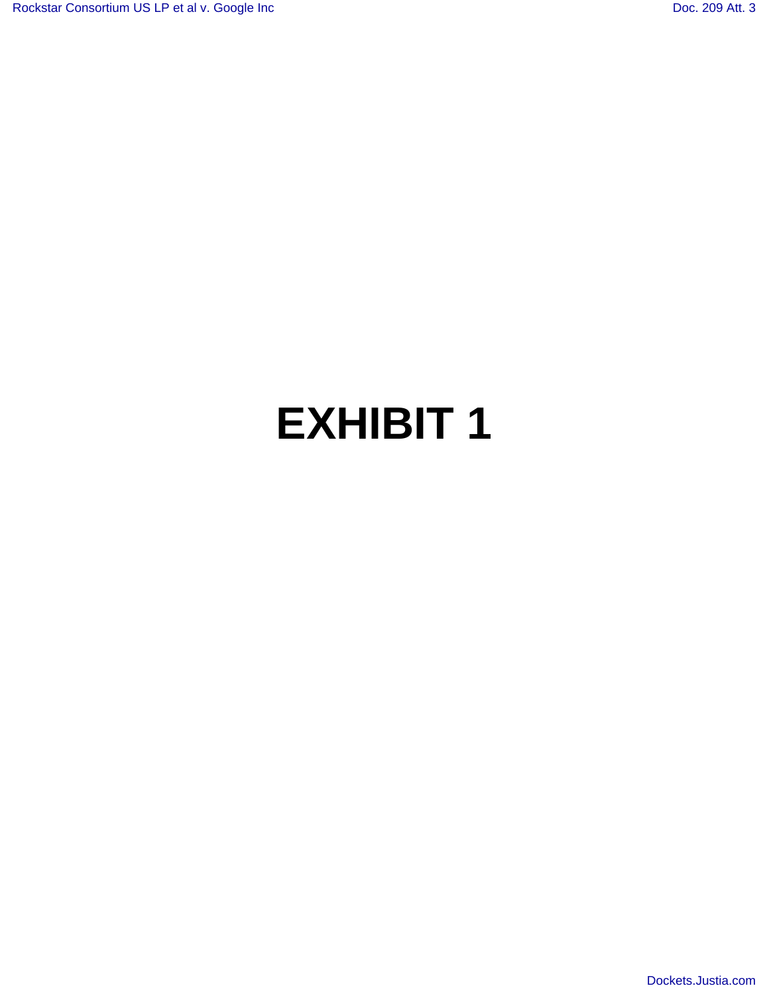# **EXHIBIT 1**

[Dockets.Justia.com](http://dockets.justia.com/)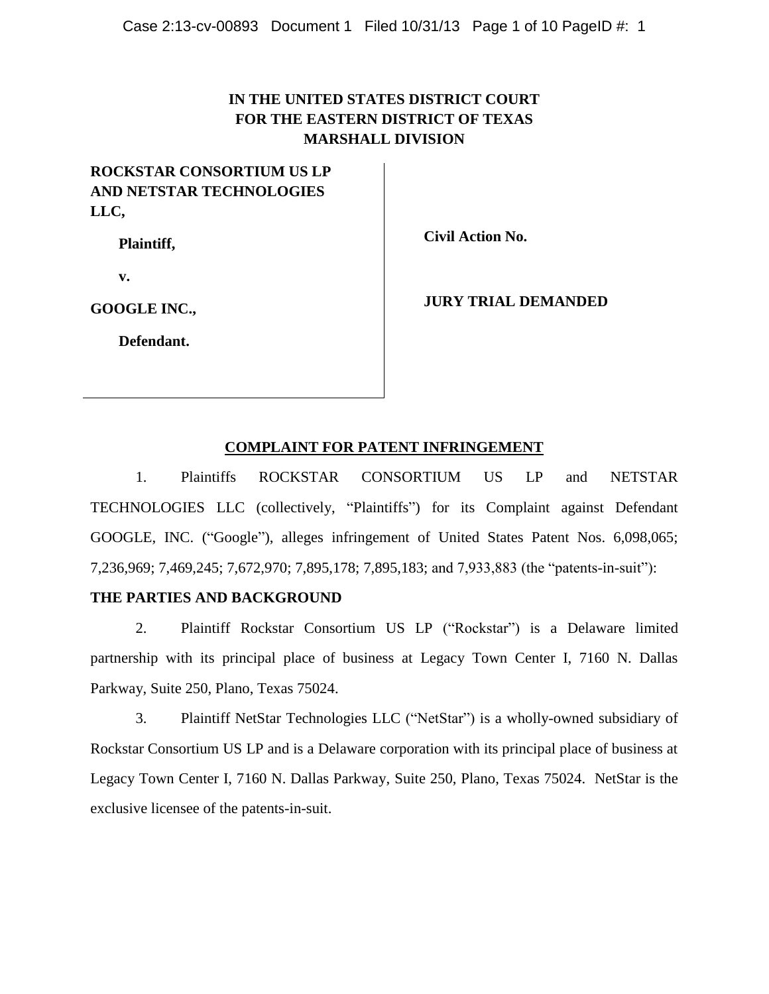# **IN THE UNITED STATES DISTRICT COURT FOR THE EASTERN DISTRICT OF TEXAS MARSHALL DIVISION**

# **ROCKSTAR CONSORTIUM US LP AND NETSTAR TECHNOLOGIES LLC,**

**Plaintiff,**

**Civil Action No.** 

**v.**

**GOOGLE INC.,**

**JURY TRIAL DEMANDED**

**Defendant.**

# **COMPLAINT FOR PATENT INFRINGEMENT**

1. Plaintiffs ROCKSTAR CONSORTIUM US LP and NETSTAR TECHNOLOGIES LLC (collectively, "Plaintiffs") for its Complaint against Defendant GOOGLE, INC. ("Google"), alleges infringement of United States Patent Nos. 6,098,065; 7,236,969; 7,469,245; 7,672,970; 7,895,178; 7,895,183; and 7,933,883 (the "patents-in-suit"):

# **THE PARTIES AND BACKGROUND**

2. Plaintiff Rockstar Consortium US LP ("Rockstar") is a Delaware limited partnership with its principal place of business at Legacy Town Center I, 7160 N. Dallas Parkway, Suite 250, Plano, Texas 75024.

3. Plaintiff NetStar Technologies LLC ("NetStar") is a wholly-owned subsidiary of Rockstar Consortium US LP and is a Delaware corporation with its principal place of business at Legacy Town Center I, 7160 N. Dallas Parkway, Suite 250, Plano, Texas 75024. NetStar is the exclusive licensee of the patents-in-suit.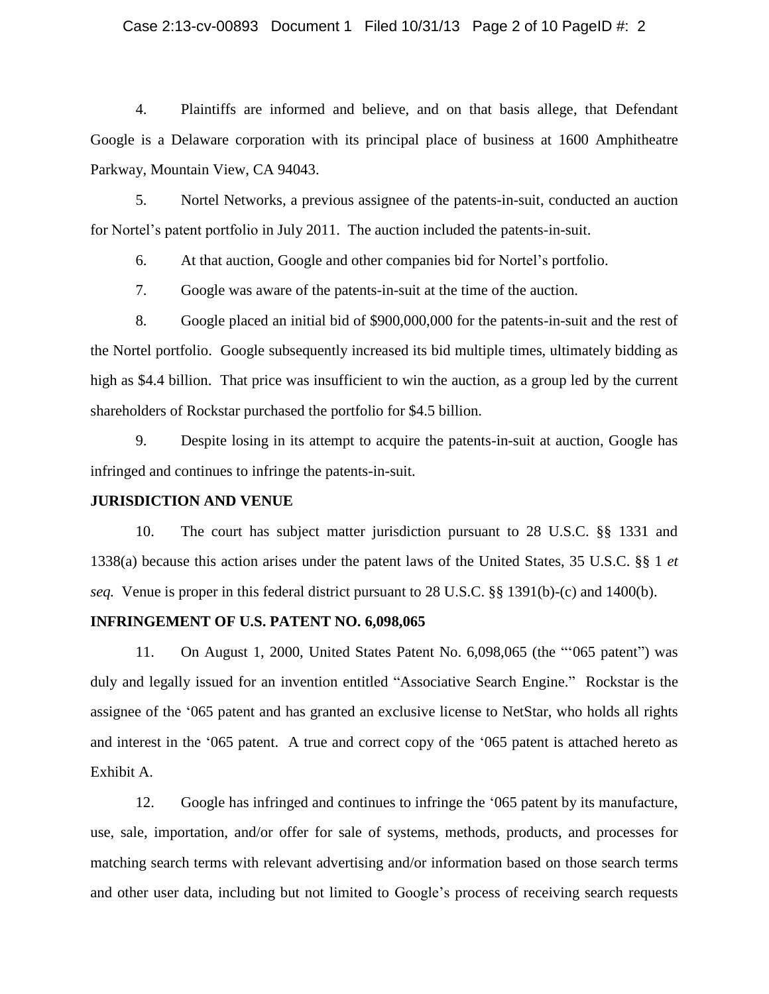#### Case 2:13-cv-00893 Document 1 Filed 10/31/13 Page 2 of 10 PageID #: 2

4. Plaintiffs are informed and believe, and on that basis allege, that Defendant Google is a Delaware corporation with its principal place of business at 1600 Amphitheatre Parkway, Mountain View, CA 94043.

5. Nortel Networks, a previous assignee of the patents-in-suit, conducted an auction for Nortel's patent portfolio in July 2011. The auction included the patents-in-suit.

6. At that auction, Google and other companies bid for Nortel's portfolio.

7. Google was aware of the patents-in-suit at the time of the auction.

8. Google placed an initial bid of \$900,000,000 for the patents-in-suit and the rest of the Nortel portfolio. Google subsequently increased its bid multiple times, ultimately bidding as high as \$4.4 billion. That price was insufficient to win the auction, as a group led by the current shareholders of Rockstar purchased the portfolio for \$4.5 billion.

9. Despite losing in its attempt to acquire the patents-in-suit at auction, Google has infringed and continues to infringe the patents-in-suit.

#### **JURISDICTION AND VENUE**

10. The court has subject matter jurisdiction pursuant to 28 U.S.C. §§ 1331 and 1338(a) because this action arises under the patent laws of the United States, 35 U.S.C. §§ 1 *et seq.* Venue is proper in this federal district pursuant to 28 U.S.C. §§ 1391(b)-(c) and 1400(b).

#### **INFRINGEMENT OF U.S. PATENT NO. 6,098,065**

11. On August 1, 2000, United States Patent No. 6,098,065 (the "'065 patent") was duly and legally issued for an invention entitled "Associative Search Engine." Rockstar is the assignee of the '065 patent and has granted an exclusive license to NetStar, who holds all rights and interest in the '065 patent. A true and correct copy of the '065 patent is attached hereto as Exhibit A.

12. Google has infringed and continues to infringe the '065 patent by its manufacture, use, sale, importation, and/or offer for sale of systems, methods, products, and processes for matching search terms with relevant advertising and/or information based on those search terms and other user data, including but not limited to Google's process of receiving search requests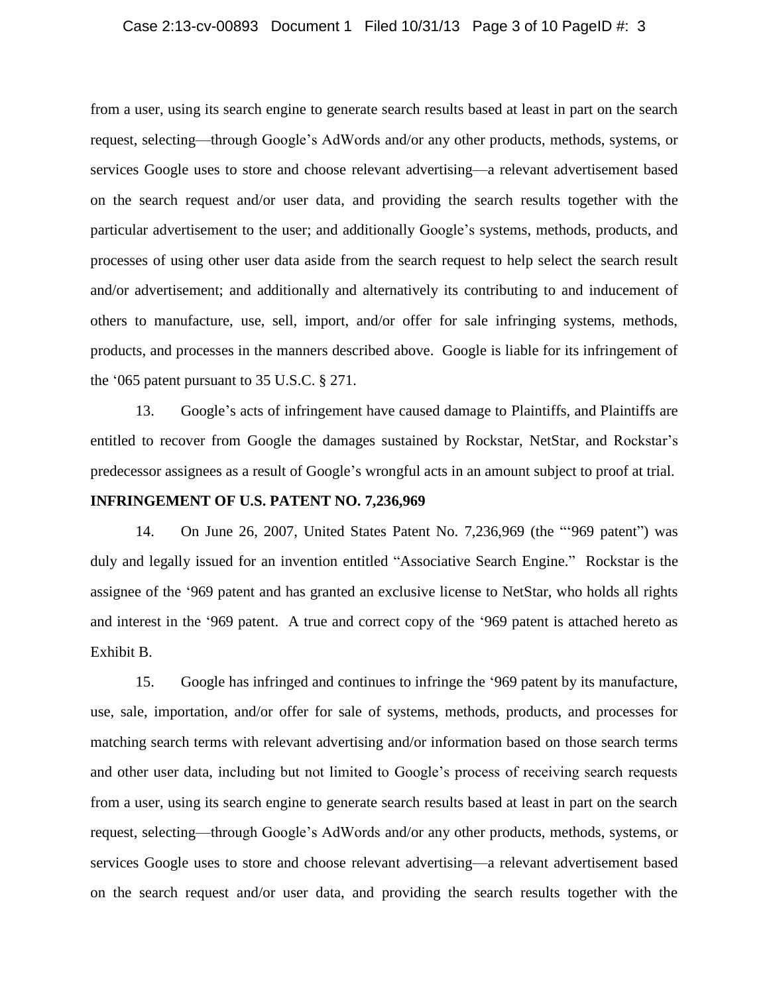#### Case 2:13-cv-00893 Document 1 Filed 10/31/13 Page 3 of 10 PageID #: 3

from a user, using its search engine to generate search results based at least in part on the search request, selecting—through Google's AdWords and/or any other products, methods, systems, or services Google uses to store and choose relevant advertising—a relevant advertisement based on the search request and/or user data, and providing the search results together with the particular advertisement to the user; and additionally Google's systems, methods, products, and processes of using other user data aside from the search request to help select the search result and/or advertisement; and additionally and alternatively its contributing to and inducement of others to manufacture, use, sell, import, and/or offer for sale infringing systems, methods, products, and processes in the manners described above. Google is liable for its infringement of the '065 patent pursuant to 35 U.S.C. § 271.

13. Google's acts of infringement have caused damage to Plaintiffs, and Plaintiffs are entitled to recover from Google the damages sustained by Rockstar, NetStar, and Rockstar's predecessor assignees as a result of Google's wrongful acts in an amount subject to proof at trial.

# **INFRINGEMENT OF U.S. PATENT NO. 7,236,969**

14. On June 26, 2007, United States Patent No. 7,236,969 (the "'969 patent") was duly and legally issued for an invention entitled "Associative Search Engine." Rockstar is the assignee of the '969 patent and has granted an exclusive license to NetStar, who holds all rights and interest in the '969 patent. A true and correct copy of the '969 patent is attached hereto as Exhibit B.

15. Google has infringed and continues to infringe the '969 patent by its manufacture, use, sale, importation, and/or offer for sale of systems, methods, products, and processes for matching search terms with relevant advertising and/or information based on those search terms and other user data, including but not limited to Google's process of receiving search requests from a user, using its search engine to generate search results based at least in part on the search request, selecting—through Google's AdWords and/or any other products, methods, systems, or services Google uses to store and choose relevant advertising—a relevant advertisement based on the search request and/or user data, and providing the search results together with the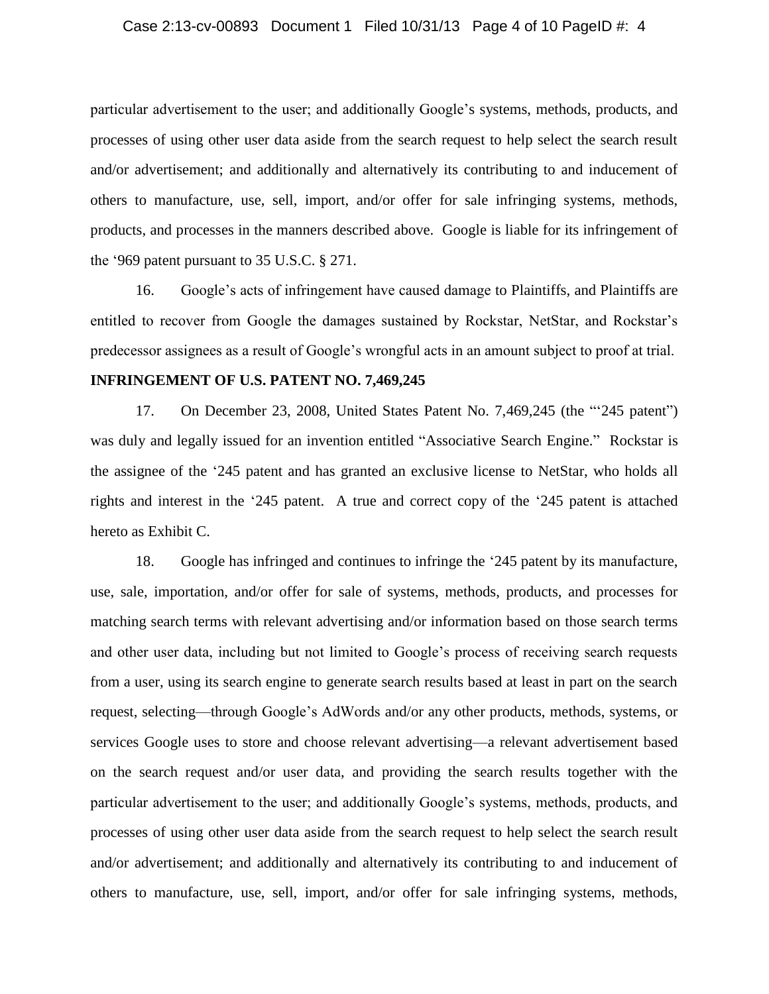particular advertisement to the user; and additionally Google's systems, methods, products, and processes of using other user data aside from the search request to help select the search result and/or advertisement; and additionally and alternatively its contributing to and inducement of others to manufacture, use, sell, import, and/or offer for sale infringing systems, methods, products, and processes in the manners described above. Google is liable for its infringement of the '969 patent pursuant to 35 U.S.C. § 271.

16. Google's acts of infringement have caused damage to Plaintiffs, and Plaintiffs are entitled to recover from Google the damages sustained by Rockstar, NetStar, and Rockstar's predecessor assignees as a result of Google's wrongful acts in an amount subject to proof at trial.

#### **INFRINGEMENT OF U.S. PATENT NO. 7,469,245**

17. On December 23, 2008, United States Patent No. 7,469,245 (the "'245 patent") was duly and legally issued for an invention entitled "Associative Search Engine." Rockstar is the assignee of the '245 patent and has granted an exclusive license to NetStar, who holds all rights and interest in the '245 patent. A true and correct copy of the '245 patent is attached hereto as Exhibit C.

18. Google has infringed and continues to infringe the '245 patent by its manufacture, use, sale, importation, and/or offer for sale of systems, methods, products, and processes for matching search terms with relevant advertising and/or information based on those search terms and other user data, including but not limited to Google's process of receiving search requests from a user, using its search engine to generate search results based at least in part on the search request, selecting—through Google's AdWords and/or any other products, methods, systems, or services Google uses to store and choose relevant advertising—a relevant advertisement based on the search request and/or user data, and providing the search results together with the particular advertisement to the user; and additionally Google's systems, methods, products, and processes of using other user data aside from the search request to help select the search result and/or advertisement; and additionally and alternatively its contributing to and inducement of others to manufacture, use, sell, import, and/or offer for sale infringing systems, methods,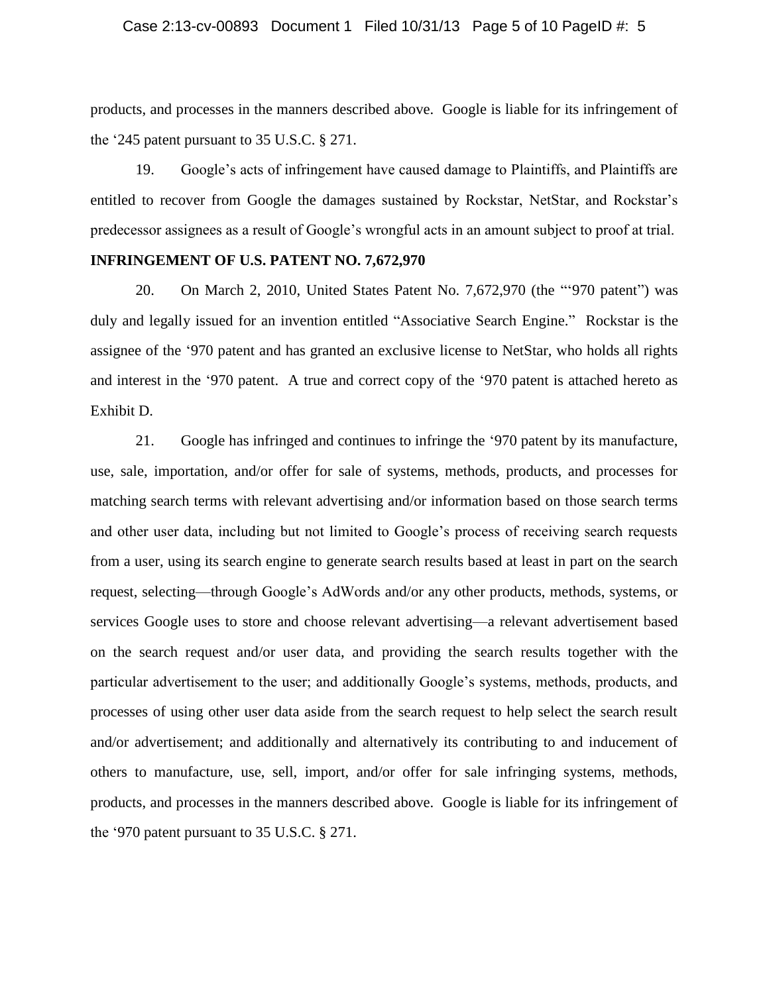#### Case 2:13-cv-00893 Document 1 Filed 10/31/13 Page 5 of 10 PageID #: 5

products, and processes in the manners described above. Google is liable for its infringement of the '245 patent pursuant to 35 U.S.C. § 271.

19. Google's acts of infringement have caused damage to Plaintiffs, and Plaintiffs are entitled to recover from Google the damages sustained by Rockstar, NetStar, and Rockstar's predecessor assignees as a result of Google's wrongful acts in an amount subject to proof at trial.

#### **INFRINGEMENT OF U.S. PATENT NO. 7,672,970**

20. On March 2, 2010, United States Patent No. 7,672,970 (the "'970 patent") was duly and legally issued for an invention entitled "Associative Search Engine." Rockstar is the assignee of the '970 patent and has granted an exclusive license to NetStar, who holds all rights and interest in the '970 patent. A true and correct copy of the '970 patent is attached hereto as Exhibit D.

21. Google has infringed and continues to infringe the '970 patent by its manufacture, use, sale, importation, and/or offer for sale of systems, methods, products, and processes for matching search terms with relevant advertising and/or information based on those search terms and other user data, including but not limited to Google's process of receiving search requests from a user, using its search engine to generate search results based at least in part on the search request, selecting—through Google's AdWords and/or any other products, methods, systems, or services Google uses to store and choose relevant advertising—a relevant advertisement based on the search request and/or user data, and providing the search results together with the particular advertisement to the user; and additionally Google's systems, methods, products, and processes of using other user data aside from the search request to help select the search result and/or advertisement; and additionally and alternatively its contributing to and inducement of others to manufacture, use, sell, import, and/or offer for sale infringing systems, methods, products, and processes in the manners described above. Google is liable for its infringement of the '970 patent pursuant to 35 U.S.C. § 271.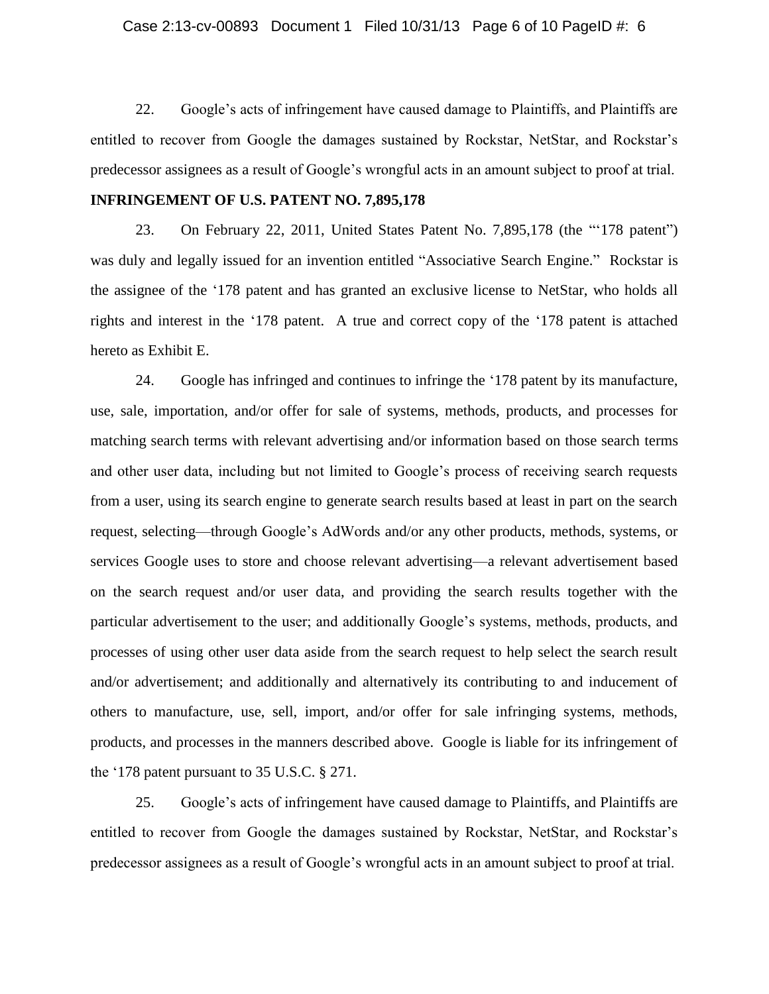#### Case 2:13-cv-00893 Document 1 Filed 10/31/13 Page 6 of 10 PageID #: 6

22. Google's acts of infringement have caused damage to Plaintiffs, and Plaintiffs are entitled to recover from Google the damages sustained by Rockstar, NetStar, and Rockstar's predecessor assignees as a result of Google's wrongful acts in an amount subject to proof at trial.

## **INFRINGEMENT OF U.S. PATENT NO. 7,895,178**

23. On February 22, 2011, United States Patent No. 7,895,178 (the "'178 patent") was duly and legally issued for an invention entitled "Associative Search Engine." Rockstar is the assignee of the '178 patent and has granted an exclusive license to NetStar, who holds all rights and interest in the '178 patent. A true and correct copy of the '178 patent is attached hereto as Exhibit E.

24. Google has infringed and continues to infringe the '178 patent by its manufacture, use, sale, importation, and/or offer for sale of systems, methods, products, and processes for matching search terms with relevant advertising and/or information based on those search terms and other user data, including but not limited to Google's process of receiving search requests from a user, using its search engine to generate search results based at least in part on the search request, selecting—through Google's AdWords and/or any other products, methods, systems, or services Google uses to store and choose relevant advertising—a relevant advertisement based on the search request and/or user data, and providing the search results together with the particular advertisement to the user; and additionally Google's systems, methods, products, and processes of using other user data aside from the search request to help select the search result and/or advertisement; and additionally and alternatively its contributing to and inducement of others to manufacture, use, sell, import, and/or offer for sale infringing systems, methods, products, and processes in the manners described above. Google is liable for its infringement of the '178 patent pursuant to 35 U.S.C. § 271.

25. Google's acts of infringement have caused damage to Plaintiffs, and Plaintiffs are entitled to recover from Google the damages sustained by Rockstar, NetStar, and Rockstar's predecessor assignees as a result of Google's wrongful acts in an amount subject to proof at trial.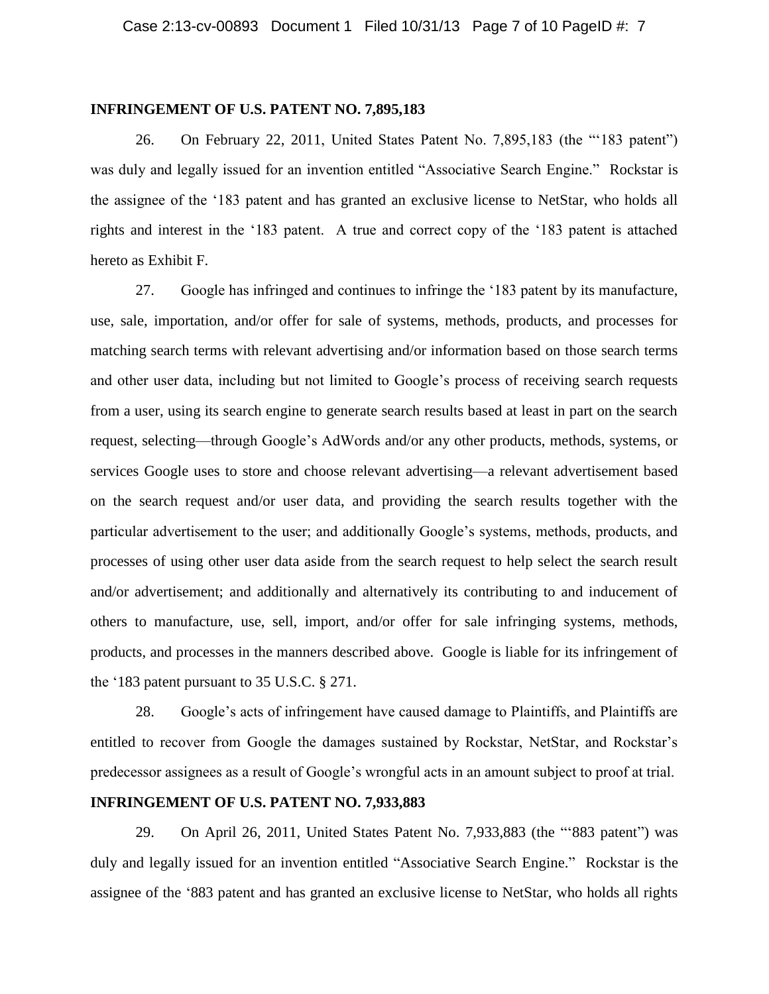#### **INFRINGEMENT OF U.S. PATENT NO. 7,895,183**

26. On February 22, 2011, United States Patent No. 7,895,183 (the "'183 patent") was duly and legally issued for an invention entitled "Associative Search Engine." Rockstar is the assignee of the '183 patent and has granted an exclusive license to NetStar, who holds all rights and interest in the '183 patent. A true and correct copy of the '183 patent is attached hereto as Exhibit F.

27. Google has infringed and continues to infringe the '183 patent by its manufacture, use, sale, importation, and/or offer for sale of systems, methods, products, and processes for matching search terms with relevant advertising and/or information based on those search terms and other user data, including but not limited to Google's process of receiving search requests from a user, using its search engine to generate search results based at least in part on the search request, selecting—through Google's AdWords and/or any other products, methods, systems, or services Google uses to store and choose relevant advertising—a relevant advertisement based on the search request and/or user data, and providing the search results together with the particular advertisement to the user; and additionally Google's systems, methods, products, and processes of using other user data aside from the search request to help select the search result and/or advertisement; and additionally and alternatively its contributing to and inducement of others to manufacture, use, sell, import, and/or offer for sale infringing systems, methods, products, and processes in the manners described above. Google is liable for its infringement of the '183 patent pursuant to 35 U.S.C. § 271.

28. Google's acts of infringement have caused damage to Plaintiffs, and Plaintiffs are entitled to recover from Google the damages sustained by Rockstar, NetStar, and Rockstar's predecessor assignees as a result of Google's wrongful acts in an amount subject to proof at trial.

#### **INFRINGEMENT OF U.S. PATENT NO. 7,933,883**

29. On April 26, 2011, United States Patent No. 7,933,883 (the "'883 patent") was duly and legally issued for an invention entitled "Associative Search Engine." Rockstar is the assignee of the '883 patent and has granted an exclusive license to NetStar, who holds all rights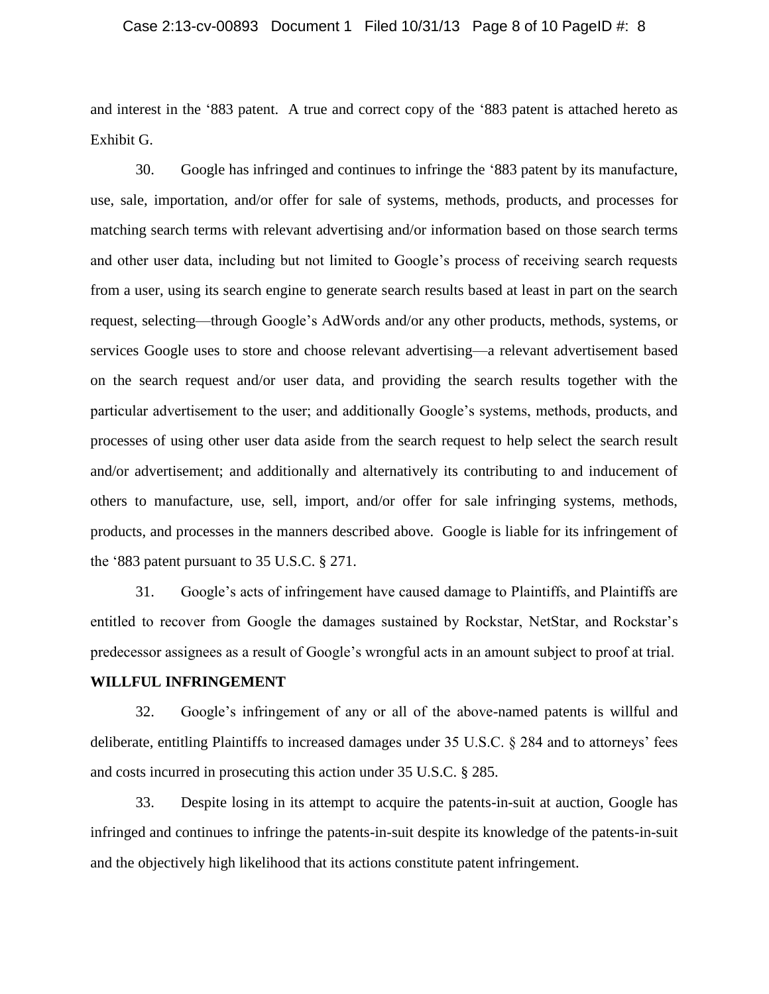#### Case 2:13-cv-00893 Document 1 Filed 10/31/13 Page 8 of 10 PageID #: 8

and interest in the '883 patent. A true and correct copy of the '883 patent is attached hereto as Exhibit G.

30. Google has infringed and continues to infringe the '883 patent by its manufacture, use, sale, importation, and/or offer for sale of systems, methods, products, and processes for matching search terms with relevant advertising and/or information based on those search terms and other user data, including but not limited to Google's process of receiving search requests from a user, using its search engine to generate search results based at least in part on the search request, selecting—through Google's AdWords and/or any other products, methods, systems, or services Google uses to store and choose relevant advertising—a relevant advertisement based on the search request and/or user data, and providing the search results together with the particular advertisement to the user; and additionally Google's systems, methods, products, and processes of using other user data aside from the search request to help select the search result and/or advertisement; and additionally and alternatively its contributing to and inducement of others to manufacture, use, sell, import, and/or offer for sale infringing systems, methods, products, and processes in the manners described above. Google is liable for its infringement of the '883 patent pursuant to 35 U.S.C. § 271.

31. Google's acts of infringement have caused damage to Plaintiffs, and Plaintiffs are entitled to recover from Google the damages sustained by Rockstar, NetStar, and Rockstar's predecessor assignees as a result of Google's wrongful acts in an amount subject to proof at trial.

#### **WILLFUL INFRINGEMENT**

32. Google's infringement of any or all of the above-named patents is willful and deliberate, entitling Plaintiffs to increased damages under 35 U.S.C. § 284 and to attorneys' fees and costs incurred in prosecuting this action under 35 U.S.C. § 285.

33. Despite losing in its attempt to acquire the patents-in-suit at auction, Google has infringed and continues to infringe the patents-in-suit despite its knowledge of the patents-in-suit and the objectively high likelihood that its actions constitute patent infringement.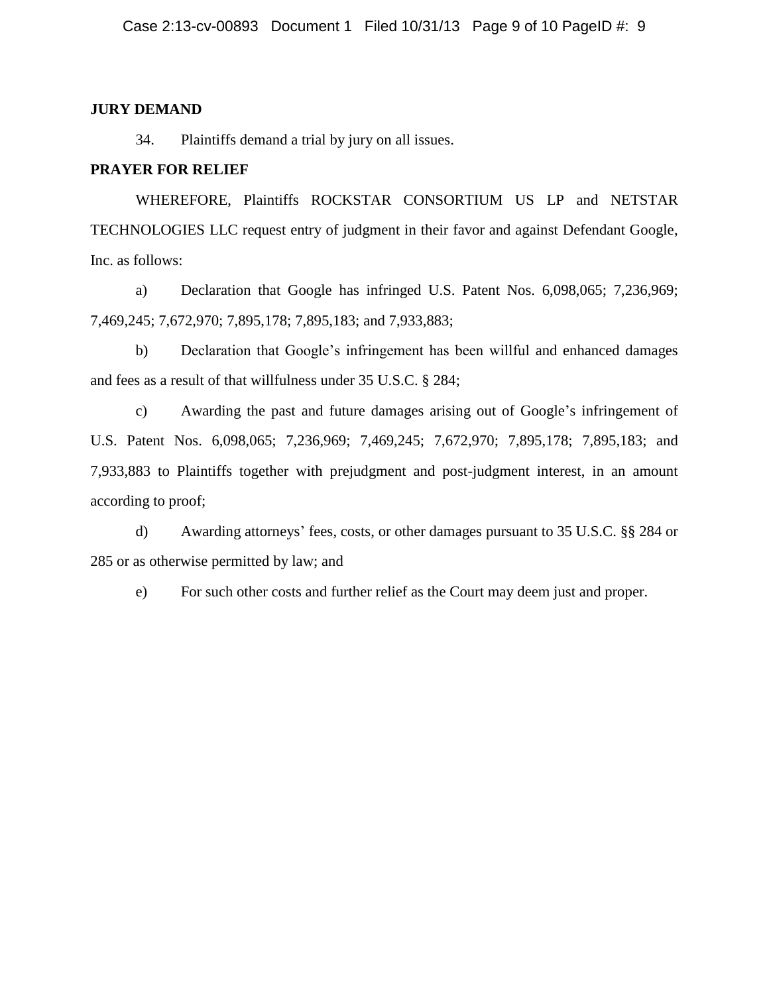#### **JURY DEMAND**

34. Plaintiffs demand a trial by jury on all issues.

### **PRAYER FOR RELIEF**

WHEREFORE, Plaintiffs ROCKSTAR CONSORTIUM US LP and NETSTAR TECHNOLOGIES LLC request entry of judgment in their favor and against Defendant Google, Inc. as follows:

a) Declaration that Google has infringed U.S. Patent Nos. 6,098,065; 7,236,969; 7,469,245; 7,672,970; 7,895,178; 7,895,183; and 7,933,883;

b) Declaration that Google's infringement has been willful and enhanced damages and fees as a result of that willfulness under 35 U.S.C. § 284;

c) Awarding the past and future damages arising out of Google's infringement of U.S. Patent Nos. 6,098,065; 7,236,969; 7,469,245; 7,672,970; 7,895,178; 7,895,183; and 7,933,883 to Plaintiffs together with prejudgment and post-judgment interest, in an amount according to proof;

d) Awarding attorneys' fees, costs, or other damages pursuant to 35 U.S.C. §§ 284 or 285 or as otherwise permitted by law; and

e) For such other costs and further relief as the Court may deem just and proper.